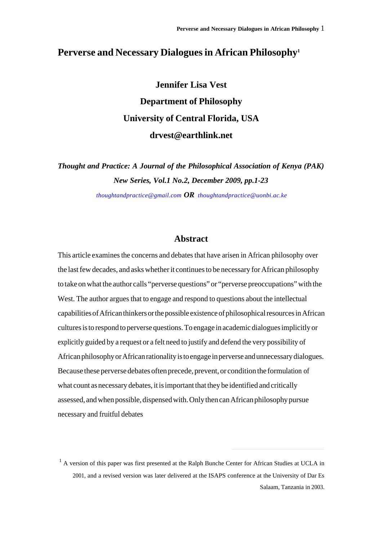# **Perverse and Necessary Dialogues in African Philosophy<sup>1</sup>**

**Jennifer Lisa Vest Department of Philosophy University of Central Florida, USA drvest@earthlink.net**

*Thought and Practice: A Journal of the Philosophical Association of Kenya (PAK) New Series, Vol.1 No.2, December 2009, pp.1-23*

*[thoughtandpractice@gmail.com](mailto:thoughtandpractice@gmail.com) OR [thoughtandpractice@uonbi.ac.ke](mailto:thoughtandpractice@uonbi.ac.ke)*

#### **Abstract**

This article examines the concerns and debates that have arisen in African philosophy over the last few decades, and asks whether it continues to be necessary for African philosophy to take on what the author calls "perverse questions" or "perverse preoccupations" with the West. The author argues that to engage and respond to questions about the intellectual capabilities of African thinkers or the possible existence of philosophical resources in African cultures is to respond to perverse questions. To engage in academic dialogues implicitly or explicitly guided by a request or a felt need to justify and defend the very possibility of African philosophy or African rationality is to engage in perverse and unnecessary dialogues. Because these perverse debates often precede, prevent, or condition the formulation of what count as necessary debates, it is important that they be identified and critically assessed, and when possible, dispensed with. Only then can African philosophy pursue necessary and fruitful debates

<sup>&</sup>lt;sup>1</sup> A version of this paper was first presented at the Ralph Bunche Center for African Studies at UCLA in 2001, and a revised version was later delivered at the ISAPS conference at the University of Dar Es Salaam, Tanzania in 2003.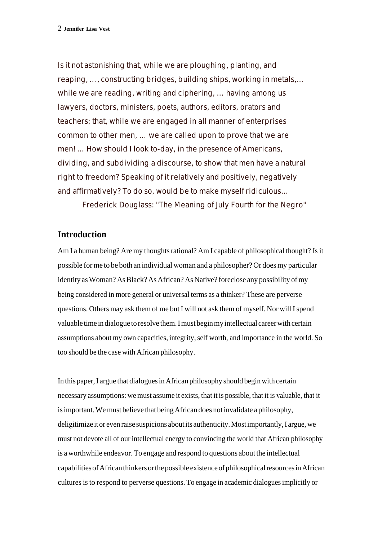Is it not astonishing that, while we are ploughing, planting, and reaping, …, constructing bridges, building ships, working in metals,… while we are reading, writing and ciphering, … having among us lawyers, doctors, ministers, poets, authors, editors, orators and teachers; that, while we are engaged in all manner of enterprises common to other men, … we are called upon to prove that we are men! … How should I look to-day, in the presence of Americans, dividing, and subdividing a discourse, to show that men have a natural right to freedom? Speaking of it relatively and positively, negatively and affirmatively? To do so, would be to make myself ridiculous…

Frederick Douglass: "The Meaning of July Fourth for the Negro"

## **Introduction**

Am I a human being? Are my thoughts rational? Am I capable of philosophical thought? Is it possible for me to be both an individual woman and a philosopher? Or does my particular identity as Woman? As Black? As African? As Native? foreclose any possibility of my being considered in more general or universal terms as a thinker? These are perverse questions. Others may ask them of me but I will not ask them of myself. Nor will I spend valuable time in dialogue to resolve them. I must begin my intellectual career with certain assumptions about my own capacities, integrity, self worth, and importance in the world. So too should be the case with African philosophy.

In this paper, I argue that dialogues in African philosophy should begin with certain necessary assumptions: we must assume it exists, that it is possible, that it is valuable, that it is important. We must believe that being African does not invalidate a philosophy, deligitimize it or even raise suspicions about its authenticity. Most importantly, I argue, we must not devote all of our intellectual energy to convincing the world that African philosophy is a worthwhile endeavor. To engage and respond to questions about the intellectual capabilities of African thinkers or the possible existence of philosophical resources in African cultures is to respond to perverse questions. To engage in academic dialogues implicitly or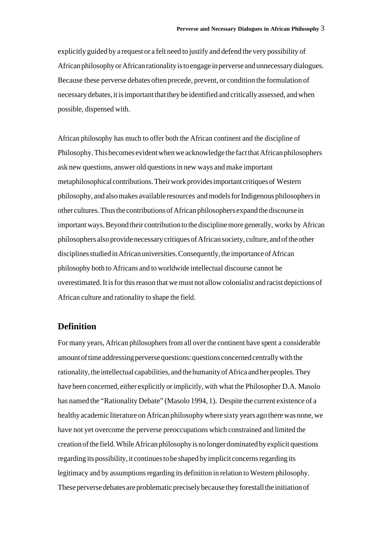explicitly guided by a request or a felt need to justify and defend the very possibility of African philosophy or African rationality is to engage in perverse and unnecessary dialogues. Because these perverse debates often precede, prevent, or condition the formulation of necessary debates, it is important that they be identified and critically assessed, and when possible, dispensed with.

African philosophy has much to offer both the African continent and the discipline of Philosophy. This becomes evident when we acknowledge the fact that African philosophers ask new questions, answer old questions in new ways and make important metaphilosophical contributions. Their work provides important critiques of Western philosophy, and also makes available resources and models for Indigenous philosophers in other cultures. Thus the contributions of African philosophers expand the discourse in important ways. Beyond their contribution to the discipline more generally, works by African philosophers also provide necessary critiques of African society, culture, and of the other disciplines studied in African universities. Consequently, the importance of African philosophy both to Africans and to worldwide intellectual discourse cannot be overestimated. It is for this reason that we must not allow colonialist and racist depictions of African culture and rationality to shape the field.

## **Definition**

For many years, African philosophers from all over the continent have spent a considerable amount of time addressing perverse questions: questions concerned centrally with the rationality, the intellectual capabilities, and the humanity of Africa and her peoples. They have been concerned, either explicitly or implicitly, with what the Philosopher D.A. Masolo has named the "Rationality Debate" (Masolo 1994, 1). Despite the current existence of a healthy academic literature on African philosophy where sixty years ago there was none, we have not yet overcome the perverse preoccupations which constrained and limited the creation of the field. While African philosophy is no longer dominated by explicit questions regarding its possibility, it continues to be shaped by implicit concerns regarding its legitimacy and by assumptions regarding its definition in relation to Western philosophy. These perverse debates are problematic precisely because they forestall the initiation of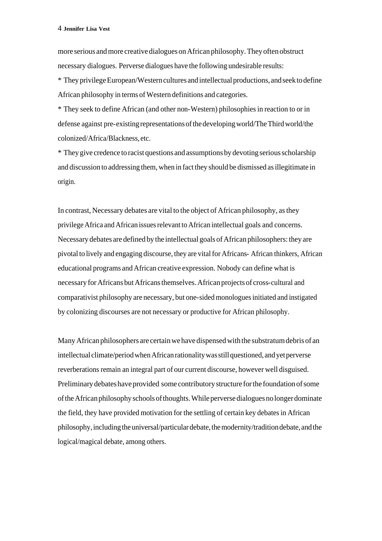more serious and more creative dialogues on African philosophy. They often obstruct necessary dialogues. Perverse dialogues have the following undesirable results:

\* They privilege European/Western cultures and intellectual productions, and seek to define African philosophy in terms of Western definitions and categories.

\* They seek to define African (and other non-Western) philosophies in reaction to or in defense against pre-existing representations of the developing world/The Third world/the colonized/Africa/Blackness, etc.

\* They give credence to racist questions and assumptions by devoting serious scholarship and discussion to addressing them, when in fact they should be dismissed as illegitimate in origin.

In contrast, Necessary debates are vital to the object of African philosophy, as they privilege Africa and African issues relevant to African intellectual goals and concerns. Necessary debates are defined by the intellectual goals of African philosophers: they are pivotal to lively and engaging discourse, they are vital for Africans- African thinkers, African educational programs and African creative expression. Nobody can define what is necessary for Africans but Africans themselves. African projects of cross-cultural and comparativist philosophy are necessary, but one-sided monologues initiated and instigated by colonizing discourses are not necessary or productive for African philosophy.

Many African philosophers are certain we have dispensed with the substratum debris of an intellectual climate/period when African rationality was still questioned, and yet perverse reverberations remain an integral part of our current discourse, however well disguised. Preliminary debates have provided some contributory structure for the foundation of some of the African philosophy schools of thoughts. While perverse dialogues no longer dominate the field, they have provided motivation for the settling of certain key debates in African philosophy, including the universal/particular debate, the modernity/tradition debate, and the logical/magical debate, among others.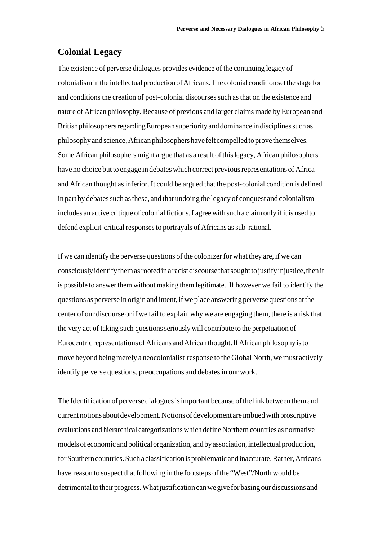#### **Colonial Legacy**

The existence of perverse dialogues provides evidence of the continuing legacy of colonialism in the intellectual production of Africans. The colonial condition set the stage for and conditions the creation of post-colonial discourses such as that on the existence and nature of African philosophy. Because of previous and larger claims made by European and British philosophers regarding European superiority and dominance in disciplines such as philosophy and science, African philosophers have felt compelled to prove themselves. Some African philosophers might argue that as a result of this legacy, African philosophers have no choice but to engage in debates which correct previous representations of Africa and African thought as inferior. It could be argued that the post-colonial condition is defined in part by debates such as these, and that undoing the legacy of conquest and colonialism includes an active critique of colonial fictions. I agree with such a claim only if it is used to defend explicit critical responses to portrayals of Africans as sub-rational.

If we can identify the perverse questions of the colonizer for what they are, if we can consciously identify them as rooted in a racist discourse that sought to justify injustice, then it is possible to answer them without making them legitimate. If however we fail to identify the questions as perverse in origin and intent, if we place answering perverse questions at the center of our discourse or if we fail to explain why we are engaging them, there is a risk that the very act of taking such questions seriously will contribute to the perpetuation of Eurocentric representations of Africans and African thought. If African philosophy is to move beyond being merely a neocolonialist response to the Global North, we must actively identify perverse questions, preoccupations and debates in our work.

The Identification of perverse dialogues is important because of the link between them and current notions about development. Notions of development are imbued with proscriptive evaluations and hierarchical categorizations which define Northern countries as normative models of economic and political organization, and by association, intellectual production, for Southern countries. Such a classification is problematic and inaccurate. Rather, Africans have reason to suspect that following in the footsteps of the "West"/North would be detrimental to their progress. What justification can we give for basing our discussions and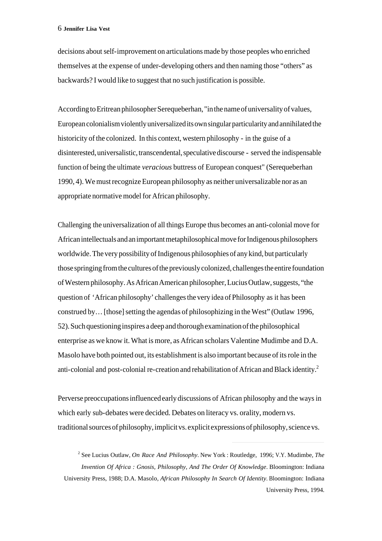decisions about self-improvement on articulations made by those peoples who enriched themselves at the expense of under-developing others and then naming those "others" as backwards? I would like to suggest that no such justification is possible.

According to Eritrean philosopher Serequeberhan, "in the name of universality of values, European colonialism violently universalized its own singular particularity and annihilated the historicity of the colonized. In this context, western philosophy - in the guise of a disinterested, universalistic, transcendental, speculative discourse - served the indispensable function of being the ultimate *veracious* buttress of European conquest" (Serequeberhan 1990, 4). We must recognize European philosophy as neither universalizable nor as an appropriate normative model for African philosophy.

Challenging the universalization of all things Europe thus becomes an anti-colonial move for African intellectuals and an important metaphilosophical move for Indigenous philosophers worldwide. The very possibility of Indigenous philosophies of any kind, but particularly those springing from the cultures of the previously colonized, challenges the entire foundation of Western philosophy. As African American philosopher, Lucius Outlaw, suggests, "the question of 'African philosophy' challenges the very idea of Philosophy as it has been construed by… [those] setting the agendas of philosophizing in the West" (Outlaw 1996, 52). Such questioning inspires a deep and thorough examination of the philosophical enterprise as we know it. What is more, as African scholars Valentine Mudimbe and D.A. Masolo have both pointed out, its establishment is also important because of its role in the anti-colonial and post-colonial re-creation and rehabilitation of African and Black identity.<sup>2</sup>

Perverse preoccupations influenced early discussions of African philosophy and the ways in which early sub-debates were decided. Debates on literacy vs. orality, modern vs. traditional sources of philosophy, implicit vs. explicit expressions of philosophy, science vs.

<sup>2</sup> See Lucius Outlaw, *On Race And Philosophy*. New York : Routledge, 1996; V.Y. Mudimbe, *The Invention Of Africa : Gnosis, Philosophy, And The Order Of Knowledge*. Bloomington: Indiana University Press, 1988; D.A. Masolo, *African Philosophy In Search Of Identity*. Bloomington: Indiana University Press, 1994.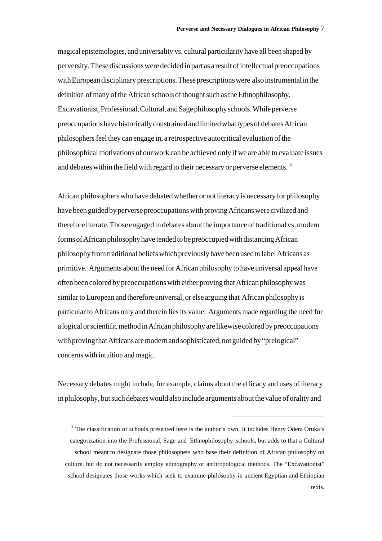magical epistemologies, and universality vs. cultural particularity have all been shaped by perversity. These discussions were decided in part as a result of intellectual preoccupations with European disciplinary prescriptions. These prescriptions were also instrumental in the definition of many of the African schools of thought such as the Ethnophilosophy, Excavationist, Professional, Cultural, and Sage philosophy schools. While perverse preoccupations have historically constrained and limited what types of debates African philosophers feel they can engage in, a retrospective autocritical evaluation of the philosophical motivations of our work can be achieved only if we are able to evaluate issues and debates within the field with regard to their necessary or perverse elements.  $3$ 

African philosophers who have debated whether or not literacy is necessary for philosophy have been guided by perverse preoccupations with proving Africans were civilized and therefore literate. Those engaged in debates about the importance of traditional vs. modern forms of African philosophy have tended to be preoccupied with distancing African philosophy from traditional beliefs which previously have been used to label Africans as primitive. Arguments about the need for African philosophy to have universal appeal have often been colored by preoccupations with either proving that African philosophy was similar to European and therefore universal, or else arguing that African philosophy is particular to Africans only and therein lies its value. Arguments made regarding the need for a logical or scientific method in African philosophy are likewise colored by preoccupations with proving that Africans are modern and sophisticated, not guided by "prelogical" concerns with intuition and magic.

Necessary debates might include, for example, claims about the efficacy and uses of literacy in philosophy, but such debates would also include arguments about the value of orality and

<sup>3</sup> The classification of schools presented here is the author's own. It includes Henry Odera Oruka's categorization into the Professional, Sage and Ethnophilosophy schools, but adds to that a Cultural school meant to designate those philosophers who base their definition of African philosophy on culture, but do not necessarily employ ethnography or anthropological methods. The "Excavationist" school designates those works which seek to examine philosophy in ancient Egyptian and Ethiopian texts.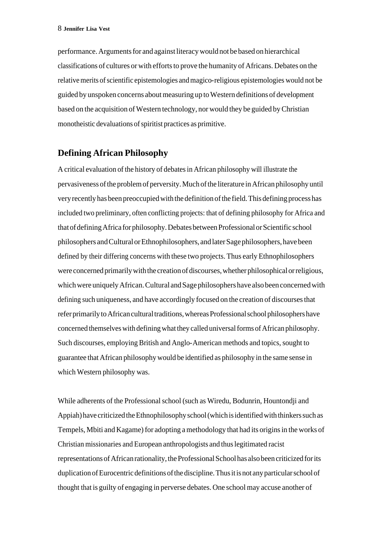performance. Arguments for and against literacy would not be based on hierarchical classifications of cultures or with efforts to prove the humanity of Africans. Debates on the relative merits of scientific epistemologies and magico-religious epistemologies would not be guided by unspoken concerns about measuring up to Western definitions of development based on the acquisition of Western technology, nor would they be guided by Christian monotheistic devaluations of spiritist practices as primitive.

## **Defining African Philosophy**

A critical evaluation of the history of debates in African philosophy will illustrate the pervasiveness of the problem of perversity. Much of the literature in African philosophy until very recently has been preoccupied with the definition of the field. This defining process has included two preliminary, often conflicting projects: that of defining philosophy for Africa and that of defining Africa for philosophy. Debates between Professional or Scientific school philosophers and Cultural or Ethnophilosophers, and later Sage philosophers, have been defined by their differing concerns with these two projects. Thus early Ethnophilosophers were concerned primarily with the creation of discourses, whether philosophical or religious, which were uniquely African. Cultural and Sage philosophers have also been concerned with defining such uniqueness, and have accordingly focused on the creation of discourses that refer primarily to African cultural traditions, whereas Professional school philosophers have concerned themselves with defining what they called universal forms of African philosophy. Such discourses, employing British and Anglo-American methods and topics, sought to guarantee that African philosophy would be identified as philosophy in the same sense in which Western philosophy was.

While adherents of the Professional school (such as Wiredu, Bodunrin, Hountondji and Appiah) have criticized the Ethnophilosophy school (which is identified with thinkers such as Tempels, Mbiti and Kagame) for adopting a methodology that had its origins in the works of Christian missionaries and European anthropologists and thus legitimated racist representations of African rationality, the Professional School has also been criticized for its duplication of Eurocentric definitions of the discipline. Thus it is not any particular school of thought that is guilty of engaging in perverse debates. One school may accuse another of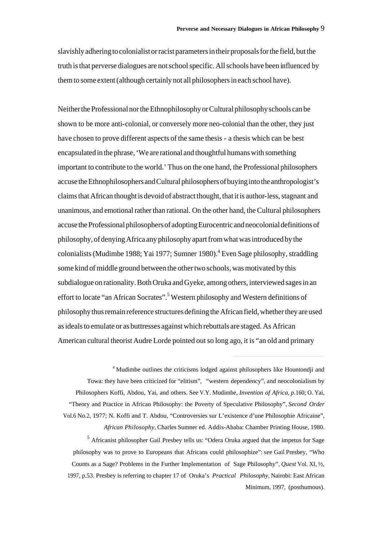slavishly adhering to colonialist or racist parameters in their proposals for the field, but the truth is that perverse dialogues are not school specific. All schools have been influenced by them to some extent (although certainly not all philosophers in each school have).

Neither the Professional nor the Ethnophilosophy or Cultural philosophy schools can be shown to be more anti-colonial, or conversely more neo-colonial than the other, they just have chosen to prove different aspects of the same thesis - a thesis which can be best encapsulated in the phrase, 'We are rational and thoughtful humans with something important to contribute to the world.' Thus on the one hand, the Professional philosophers accuse the Ethnophilosophers and Cultural philosophers of buying into the anthropologist's claims that African thought is devoid of abstract thought, that it is author-less, stagnant and unanimous, and emotional rather than rational. On the other hand, the Cultural philosophers accuse the Professional philosophers of adopting Eurocentric and neocolonial definitions of philosophy, of denying Africa any philosophy apart from what was introduced by the colonialists (Mudimbe 1988; Yai 1977; Sumner 1980).<sup>4</sup> Even Sage philosophy, straddling some kind of middle ground between the other two schools, was motivated by this subdialogue on rationality. Both Oruka and Gyeke, among others, interviewed sages in an effort to locate "an African Socrates".<sup>5</sup> Western philosophy and Western definitions of philosophy thus remain reference structures defining the African field, whether they are used as ideals to emulate or as buttresses against which rebuttals are staged. As African American cultural theorist Audre Lorde pointed out so long ago, it is "an old and primary

<sup>4</sup> Mudimbe outlines the criticisms lodged against philosophers like Hountondji and Towa: they have been criticized for "elitism", "western dependency", and neocolonialism by Philosophers Koffi, Abdou, Yai, and others. See V.Y. Mudimbe, *Invention of Africa, p.*160; O. Yai, "Theory and Practice in African Philosophy: the Poverty of Speculative Philosophy", *Second Order* Vol.6 No.2, 1977; N. Koffi and T. Abdou, "Controversies sur L'existence d'une Philosophie Africaine", *African Philosophy*, Charles Sumner ed. Addis-Ababa: Chamber Printing House, 1980.

 $\overline{a}$ 

<sup>5</sup> Africanist philosopher Gail Presbey tells us: "Odera Oruka argued that the impetus for Sage philosophy was to prove to Europeans that Africans could philosophize": see Gail Presbey, "Who Counts as a Sage? Problems in the Further Implementation of Sage Philosophy", *Quest* Vol. XI, ½, 1997, p.53. Presbey is referring to chapter 17 of Oruka's *Practical Philosophy*, Nairobi: East African Minimum, 1997, (posthumous).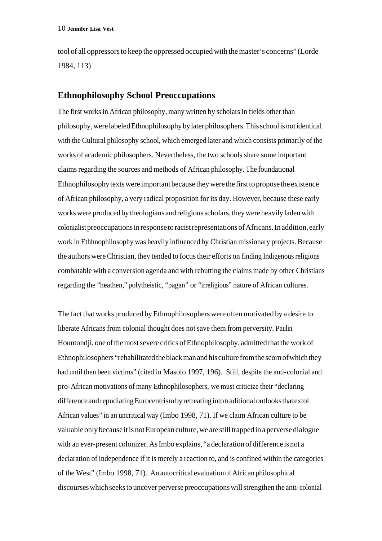tool of all oppressors to keep the oppressed occupied with the master's concerns" (Lorde 1984, 113)

## **Ethnophilosophy School Preoccupations**

The first works in African philosophy, many written by scholars in fields other than philosophy, were labeled Ethnophilosophy by later philosophers. This school is not identical with the Cultural philosophy school, which emerged later and which consists primarily of the works of academic philosophers. Nevertheless, the two schools share some important claims regarding the sources and methods of African philosophy. The foundational Ethnophilosophy texts were important because they were the first to propose the existence of African philosophy, a very radical proposition for its day. However, because these early works were produced by theologians and religious scholars, they were heavily laden with colonialist preoccupations in response to racist representations of Africans. In addition, early work in Ethhnophilosophy was heavily influenced by Christian missionary projects. Because the authors were Christian, they tended to focus their efforts on finding Indigenous religions combatable with a conversion agenda and with rebutting the claims made by other Christians regarding the "heathen," polytheistic, "pagan" or "irreligious" nature of African cultures.

The fact that works produced by Ethnophilosophers were often motivated by a desire to liberate Africans from colonial thought does not save them from perversity. Paulin Hountondji, one of the most severe critics of Ethnophilosophy, admitted that the work of Ethnophilosophers "rehabilitated the black man and his culture from the scorn of which they had until then been victims" (cited in Masolo 1997, 196). Still, despite the anti-colonial and pro-African motivations of many Ethnophilosophers, we must criticize their "declaring difference and repudiating Eurocentrism by retreating into traditional outlooks that extol African values" in an uncritical way (Imbo 1998, 71). If we claim African culture to be valuable only because it is not European culture, we are still trapped in a perverse dialogue with an ever-present colonizer. As Imbo explains, "a declaration of difference is not a declaration of independence if it is merely a reaction to, and is confined within the categories of the West" (Imbo 1998, 71). An autocritical evaluation of African philosophical discourses which seeks to uncover perverse preoccupations will strengthen the anti-colonial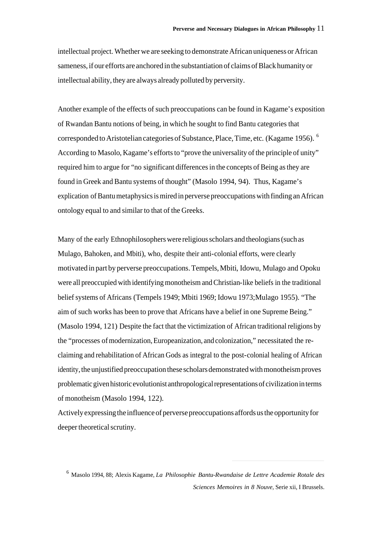intellectual project. Whether we are seeking to demonstrate African uniqueness or African sameness, if our efforts are anchored in the substantiation of claims of Black humanity or intellectual ability, they are always already polluted by perversity.

Another example of the effects of such preoccupations can be found in Kagame's exposition of Rwandan Bantu notions of being, in which he sought to find Bantu categories that corresponded to Aristotelian categories of Substance, Place, Time, etc. (Kagame 1956). 6 According to Masolo, Kagame's efforts to "prove the universality of the principle of unity" required him to argue for "no significant differences in the concepts of Being as they are found in Greek and Bantu systems of thought" (Masolo 1994, 94). Thus, Kagame's explication of Bantu metaphysics is mired in perverse preoccupations with finding an African ontology equal to and similar to that of the Greeks.

Many of the early Ethnophilosophers were religious scholars and theologians (such as Mulago, Bahoken, and Mbiti), who, despite their anti-colonial efforts, were clearly motivated in part by perverse preoccupations. Tempels, Mbiti, Idowu, Mulago and Opoku were all preoccupied with identifying monotheism and Christian-like beliefs in the traditional belief systems of Africans (Tempels 1949; Mbiti 1969; Idowu 1973;Mulago 1955). "The aim of such works has been to prove that Africans have a belief in one Supreme Being." (Masolo 1994, 121) Despite the fact that the victimization of African traditional religions by the "processes of modernization, Europeanization, and colonization," necessitated the reclaiming and rehabilitation of African Gods as integral to the post-colonial healing of African identity, the unjustified preoccupation these scholars demonstrated with monotheism proves problematic given historic evolutionist anthropological representations of civilization in terms of monotheism (Masolo 1994, 122).

Actively expressing the influence of perverse preoccupations affords us the opportunity for deeper theoretical scrutiny.

<sup>6</sup> Masolo 1994, 88; Alexis Kagame, *La Philosophie Bantu-Rwandaise de Lettre Academie Rotale des Sciences Memoires in 8 Nouve*, Serie xii, I Brussels.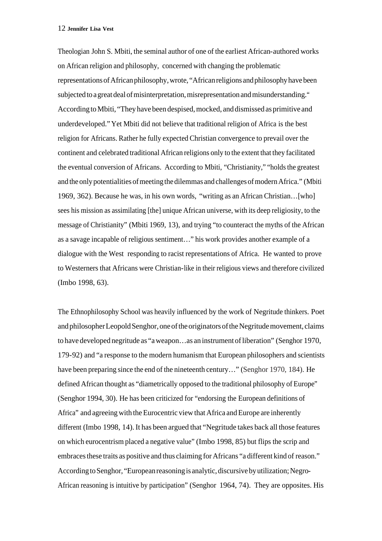Theologian John S. Mbiti, the seminal author of one of the earliest African-authored works on African religion and philosophy, concerned with changing the problematic representations of African philosophy, wrote, "African religions and philosophy have been subjected to a great deal of misinterpretation, misrepresentation and misunderstanding." According to Mbiti, "They have been despised, mocked, and dismissed as primitive and underdeveloped." Yet Mbiti did not believe that traditional religion of Africa is the best religion for Africans. Rather he fully expected Christian convergence to prevail over the continent and celebrated traditional African religions only to the extent that they facilitated the eventual conversion of Africans. According to Mbiti, "Christianity," "holds the greatest and the only potentialities of meeting the dilemmas and challenges of modern Africa." (Mbiti 1969, 362). Because he was, in his own words, "writing as an African Christian…[who] sees his mission as assimilating [the] unique African universe, with its deep religiosity, to the message of Christianity" (Mbiti 1969, 13), and trying "to counteract the myths of the African as a savage incapable of religious sentiment…" his work provides another example of a dialogue with the West responding to racist representations of Africa. He wanted to prove to Westerners that Africans were Christian-like in their religious views and therefore civilized (Imbo 1998, 63).

The Ethnophilosophy School was heavily influenced by the work of Negritude thinkers. Poet and philosopher Leopold Senghor, one of the originators of the Negritude movement, claims to have developed negritude as "a weapon…as an instrument of liberation" (Senghor 1970, 179-92) and "a response to the modern humanism that European philosophers and scientists have been preparing since the end of the nineteenth century…" (Senghor 1970, 184). He defined African thought as "diametrically opposed to the traditional philosophy of Europe" (Senghor 1994, 30). He has been criticized for "endorsing the European definitions of Africa" and agreeing with the Eurocentric view that Africa and Europe are inherently different (Imbo 1998, 14). It has been argued that "Negritude takes back all those features on which eurocentrism placed a negative value" (Imbo 1998, 85) but flips the scrip and embraces these traits as positive and thus claiming for Africans "a different kind of reason." According to Senghor, "European reasoning is analytic, discursive by utilization; Negro-African reasoning is intuitive by participation" (Senghor 1964, 74). They are opposites. His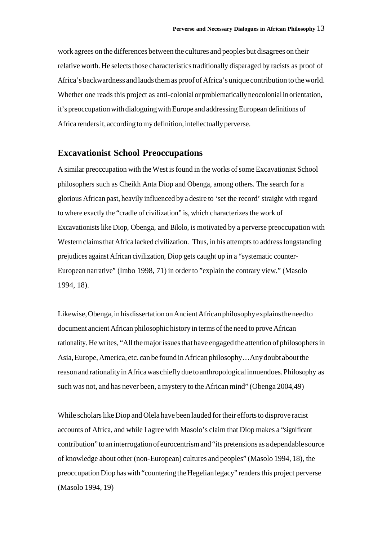work agrees on the differences between the cultures and peoples but disagrees on their relative worth. He selects those characteristics traditionally disparaged by racists as proof of Africa's backwardness and lauds them as proof of Africa's unique contribution to the world. Whether one reads this project as anti-colonial or problematically neocolonial in orientation, it's preoccupation with dialoguing with Europe and addressing European definitions of Africa renders it, according to my definition, intellectually perverse.

### **Excavationist School Preoccupations**

A similar preoccupation with the West is found in the works of some Excavationist School philosophers such as Cheikh Anta Diop and Obenga, among others. The search for a glorious African past, heavily influenced by a desire to 'set the record' straight with regard to where exactly the "cradle of civilization" is, which characterizes the work of Excavationists like Diop, Obenga, and Bilolo, is motivated by a perverse preoccupation with Western claims that Africa lacked civilization. Thus, in his attempts to address longstanding prejudices against African civilization, Diop gets caught up in a "systematic counter-European narrative" (Imbo 1998, 71) in order to "explain the contrary view." (Masolo 1994, 18).

Likewise, Obenga, in his dissertation on Ancient African philosophy explains the need to document ancient African philosophic history in terms of the need to prove African rationality. He writes, "All the major issues that have engaged the attention of philosophers in Asia, Europe, America, etc. can be found in African philosophy…Any doubt about the reason and rationality in Africa was chiefly due to anthropological innuendoes. Philosophy as such was not, and has never been, a mystery to the African mind" (Obenga 2004,49)

While scholars like Diop and Olela have been lauded for their efforts to disprove racist accounts of Africa, and while I agree with Masolo's claim that Diop makes a "significant contribution" to an interrogation of eurocentrism and "its pretensions as a dependable source of knowledge about other (non-European) cultures and peoples" (Masolo 1994, 18), the preoccupation Diop has with "countering the Hegelian legacy" renders this project perverse (Masolo 1994, 19)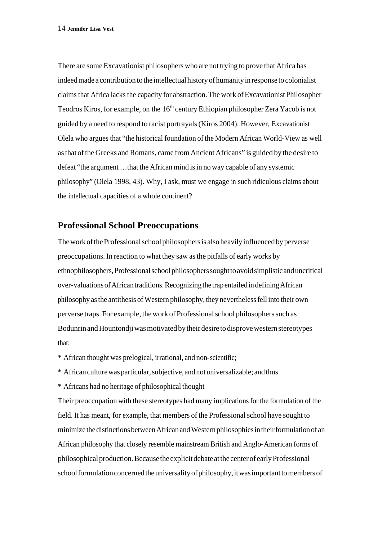There are some Excavationist philosophers who are not trying to prove that Africa has indeed made a contribution to the intellectual history of humanity in response to colonialist claims that Africa lacks the capacity for abstraction. The work of Excavationist Philosopher Teodros Kiros, for example, on the 16<sup>th</sup> century Ethiopian philosopher Zera Yacob is not guided by a need to respond to racist portrayals (Kiros 2004). However, Excavationist Olela who argues that "the historical foundation of the Modern African World-View as well as that of the Greeks and Romans, came from Ancient Africans" is guided by the desire to defeat "the argument …that the African mind is in no way capable of any systemic philosophy" (Olela 1998, 43). Why, I ask, must we engage in such ridiculous claims about the intellectual capacities of a whole continent?

### **Professional School Preoccupations**

The work of the Professional school philosophers is also heavily influenced by perverse preoccupations. In reaction to what they saw as the pitfalls of early works by ethnophilosophers, Professional school philosophers sought to avoid simplistic and uncritical over-valuations of African traditions. Recognizing the trap entailed in defining African philosophy as the antithesis of Western philosophy, they nevertheless fell into their own perverse traps. For example, the work of Professional school philosophers such as Bodunrin and Hountondji was motivated by their desire to disprove western stereotypes that:

\* African thought was prelogical, irrational, and non-scientific;

\* African culture was particular, subjective, and not universalizable; and thus

\* Africans had no heritage of philosophical thought

Their preoccupation with these stereotypes had many implications for the formulation of the field. It has meant, for example, that members of the Professional school have sought to minimize the distinctions between African and Western philosophies in their formulation of an African philosophy that closely resemble mainstream British and Anglo-American forms of philosophical production. Because the explicit debate at the center of early Professional school formulation concerned the universality of philosophy, it was important to members of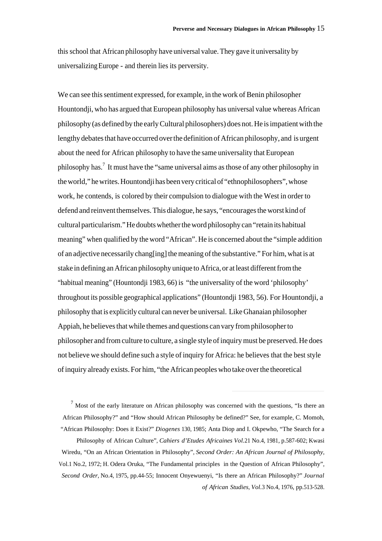this school that African philosophy have universal value. They gave it universality by universalizing Europe - and therein lies its perversity.

We can see this sentiment expressed, for example, in the work of Benin philosopher Hountondji, who has argued that European philosophy has universal value whereas African philosophy (as defined by the early Cultural philosophers) does not. He is impatient with the lengthy debates that have occurred over the definition of African philosophy, and is urgent about the need for African philosophy to have the same universality that European philosophy has.<sup>7</sup> It must have the "same universal aims as those of any other philosophy in the world," he writes. Hountondji has been very critical of "ethnophilosophers", whose work, he contends, is colored by their compulsion to dialogue with the West in order to defend and reinvent themselves. This dialogue, he says, "encourages the worst kind of cultural particularism." He doubts whether the word philosophy can "retain its habitual meaning" when qualified by the word "African". He is concerned about the "simple addition of an adjective necessarily chang[ing] the meaning of the substantive." For him, what is at stake in defining an African philosophy unique to Africa, or at least different from the "habitual meaning" (Hountondji 1983, 66) is "the universality of the word 'philosophy' throughout its possible geographical applications" (Hountondji 1983, 56). For Hountondji, a philosophy that is explicitly cultural can never be universal. Like Ghanaian philosopher Appiah, he believes that while themes and questions can vary from philosopher to philosopher and from culture to culture, a single style of inquiry must be preserved. He does not believe we should define such a style of inquiry for Africa: he believes that the best style of inquiry already exists. For him, "the African peoples who take over the theoretical

 $<sup>7</sup>$  Most of the early literature on African philosophy was concerned with the questions, "Is there an</sup> African Philosophy?" and "How should African Philosophy be defined?" See, for example, C. Momoh, "African Philosophy: Does it Exist?" *Diogenes* 130, 1985; Anta Diop and I. Okpewho, "The Search for a

 $\overline{a}$ 

Philosophy of African Culture", *Cahiers d'Etudes Africaines Vol.*21 No.4, 1981, p.587-602; Kwasi Wiredu, "On an African Orientation in Philosophy", *Second Order: An African Journal of Philosophy*, Vol.1 No.2, 1972; H. Odera Oruka, "The Fundamental principles in the Question of African Philosophy", *Second Order*, No.4, 1975, pp.44-55; Innocent Onyewuenyi, "Is there an African Philosophy?" *Journal of African Studies*, *Vol.*3 No.4, 1976, pp.513-528.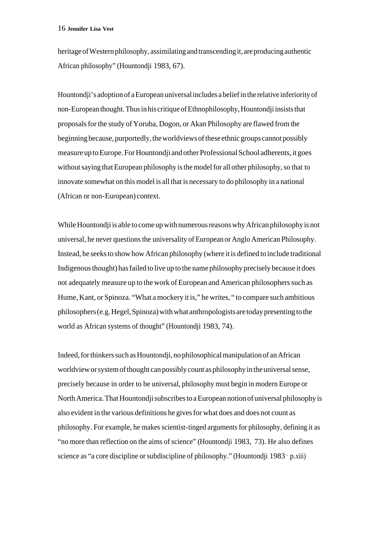heritage of Western philosophy, assimilating and transcending it, are producing authentic African philosophy" (Hountondji 1983, 67).

Hountondji's adoption of a European universal includes a belief in the relative inferiority of non-European thought. Thus in his critique of Ethnophilosophy, Hountondji insists that proposals for the study of Yoruba, Dogon, or Akan Philosophy are flawed from the beginning because, purportedly, the worldviews of these ethnic groups cannot possibly measure up to Europe. For Hountondji and other Professional School adherents, it goes without saying that European philosophy is the model for all other philosophy, so that to innovate somewhat on this model is all that is necessary to do philosophy in a national (African or non-European) context.

While Hountondji is able to come up with numerous reasons why African philosophy is not universal, he never questions the universality of European or Anglo American Philosophy. Instead, he seeks to show how African philosophy (where it is defined to include traditional Indigenous thought) has failed to live up to the name philosophy precisely because it does not adequately measure up to the work of European and American philosophers such as Hume, Kant, or Spinoza. "What a mockery it is," he writes, " to compare such ambitious philosophers (e.g. Hegel, Spinoza) with what anthropologists are today presenting to the world as African systems of thought" (Hountondji 1983, 74).

Indeed, for thinkers such as Hountondji, no philosophical manipulation of an African worldview or system of thought can possibly count as philosophy in the universal sense, precisely because in order to be universal, philosophy must begin in modern Europe or North America. That Hountondji subscribes to a European notion of universal philosophy is also evident in the various definitions he gives for what does and does not count as philosophy. For example, he makes scientist-tinged arguments for philosophy, defining it as "no more than reflection on the aims of science" (Hountondji 1983, 73). He also defines science as "a core discipline or subdiscipline of philosophy." (Hountondii 1983 , p.xiii)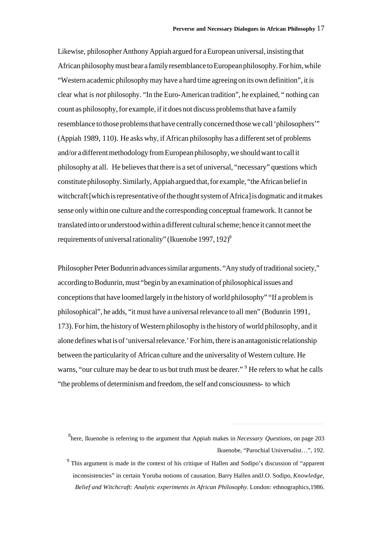Likewise, philosopher Anthony Appiah argued for a European universal, insisting that African philosophy must bear a family resemblance to European philosophy. For him, while "Western academic philosophy may have a hard time agreeing on its own definition", it is clear what is *not* philosophy. "In the Euro-American tradition", he explained, " nothing can count as philosophy, for example, if it does not discuss problems that have a family resemblance to those problems that have centrally concerned those we call 'philosophers'" (Appiah 1989, 110). He asks why, if African philosophy has a different set of problems and/or a different methodology from European philosophy, we should want to call it philosophy at all. He believes that there is a set of universal, "necessary" questions which constitute philosophy. Similarly, Appiah argued that, for example, "the African belief in witchcraft [which is representative of the thought system of Africa] is dogmatic and it makes sense only within one culture and the corresponding conceptual framework. It cannot be translated into or understood within a different cultural scheme; hence it cannot meet the requirements of universal rationality" (Ikuenobe 1997, 192)<sup>8</sup>

Philosopher Peter Bodunrin advances similar arguments. "Any study of traditional society," according to Bodunrin, must "begin by an examination of philosophical issues and conceptions that have loomed largely in the history of world philosophy" "If a problem is philosophical", he adds, "it must have a universal relevance to all men" (Bodunrin 1991, 173). For him, the history of Western philosophy is the history of world philosophy, and it alone defines what is of 'universal relevance.' For him, there is an antagonistic relationship between the particularity of African culture and the universality of Western culture. He warns, "our culture may be dear to us but truth must be dearer." <sup>9</sup> He refers to what he calls "the problems of determinism and freedom, the self and consciousness- to which

<sup>8</sup> here, Ikuenobe is referring to the argument that Appiah makes in *Necessary Questions,* on page 203 Ikuenobe, "Parochial Universalist…", 192.

<sup>&</sup>lt;sup>9</sup> This argument is made in the context of his critique of Hallen and Sodipo's discussion of "apparent" inconsistencies" in certain Yoruba notions of causation. Barry Hallen andJ.O. Sodipo, *Knowledge, Belief and Witchcraft: Analytic experiments in African Philosophy*. London: ethnographics,1986.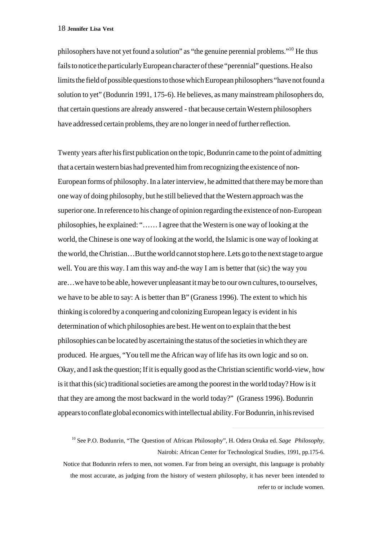philosophers have not yet found a solution" as "the genuine perennial problems."<sup>10</sup> He thus fails to notice the particularly European character of these "perennial" questions. He also limits the field of possible questions to those which European philosophers "have not found a solution to yet" (Bodunrin 1991, 175-6). He believes, as many mainstream philosophers do, that certain questions are already answered - that because certain Western philosophers have addressed certain problems, they are no longer in need of further reflection.

Twenty years after his first publication on the topic, Bodunrin came to the point of admitting that a certain western bias had prevented him from recognizing the existence of non-European forms of philosophy. In a later interview, he admitted that there may be more than one way of doing philosophy, but he still believed that the Western approach was the superior one. In reference to his change of opinion regarding the existence of non-European philosophies, he explained: "…… I agree that the Western is one way of looking at the world, the Chinese is one way of looking at the world, the Islamic is one way of looking at the world, the Christian…But the world cannot stop here. Lets go to the next stage to argue well. You are this way. I am this way and-the way I am is better that (sic) the way you are…we have to be able, however unpleasant it may be to our own cultures, to ourselves, we have to be able to say: A is better than B" (Graness 1996). The extent to which his thinking is colored by a conquering and colonizing European legacy is evident in his determination of which philosophies are best. He went on to explain that the best philosophies can be located by ascertaining the status of the societies in which they are produced. He argues, "You tell me the African way of life has its own logic and so on. Okay, and I ask the question; If it is equally good as the Christian scientific world-view, how is it that this (sic) traditional societies are among the poorest in the world today? How is it that they are among the most backward in the world today?" (Graness 1996). Bodunrin appears to conflate global economics with intellectual ability. For Bodunrin, in his revised

<sup>10</sup> See P.O. Bodunrin, "The Question of African Philosophy", H. Odera Oruka ed. *Sage Philosophy*, Nairobi: African Center for Technological Studies, 1991, pp.175-6.

Notice that Bodunrin refers to men, not women. Far from being an oversight, this language is probably the most accurate, as judging from the history of western philosophy, it has never been intended to refer to or include women.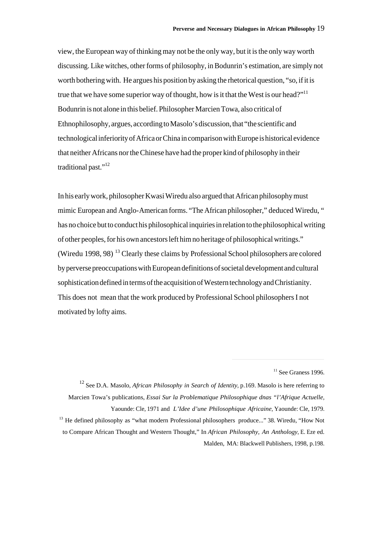view, the European way of thinking may not be the only way, but it is the only way worth discussing. Like witches, other forms of philosophy, in Bodunrin's estimation, are simply not worth bothering with. He argues his position by asking the rhetorical question, "so, if it is true that we have some superior way of thought, how is it that the West is our head?"<sup>11</sup> Bodunrin is not alone in this belief. Philosopher Marcien Towa, also critical of Ethnophilosophy, argues, according to Masolo's discussion, that "the scientific and technological inferiority of Africa or China in comparison with Europe is historical evidence that neither Africans nor the Chinese have had the proper kind of philosophy in their traditional past."<sup>12</sup>

In his early work, philosopher Kwasi Wiredu also argued that African philosophy must mimic European and Anglo-American forms. "The African philosopher," deduced Wiredu, " has no choice but to conduct his philosophical inquiries in relation to the philosophical writing of other peoples, for his own ancestors left him no heritage of philosophical writings." (Wiredu 1998, 98)<sup>13</sup> Clearly these claims by Professional School philosophers are colored by perverse preoccupations with European definitions of societal development and cultural sophistication defined in terms of the acquisition of Western technology and Christianity. This does not mean that the work produced by Professional School philosophers I not motivated by lofty aims.

 $11$  See Graness 1996.

<sup>12</sup> See D.A. Masolo, *African Philosophy in Search of Identity*, p.169. Masolo is here referring to Marcien Towa's publications, *Essai Sur la Problematique Philosophique dnas "l'Afrique Actuelle*, Yaounde: Cle, 1971 and *L'Idee d'une Philosophique Africaine*, Yaounde: Cle, 1979. <sup>13</sup> He defined philosophy as "what modern Professional philosophers produce..." 38. Wiredu, "How Not to Compare African Thought and Western Thought," In *African Philosophy, An Anthology*, E. Eze ed. Malden, MA: Blackwell Publishers, 1998, p.198.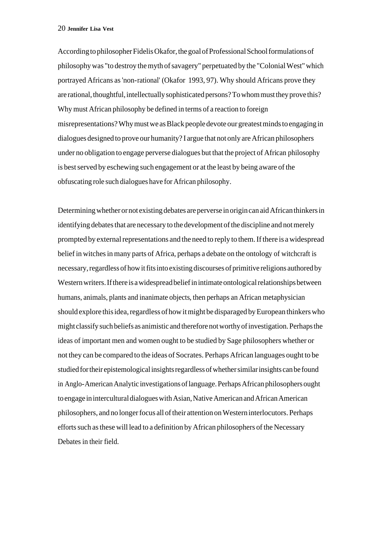According to philosopher Fidelis Okafor, the goal of Professional School formulations of philosophy was "to destroy the myth of savagery" perpetuated by the "Colonial West" which portrayed Africans as 'non-rational' (Okafor 1993, 97). Why should Africans prove they are rational, thoughtful, intellectually sophisticated persons? To whom must they prove this? Why must African philosophy be defined in terms of a reaction to foreign misrepresentations? Why must we as Black people devote our greatest minds to engaging in dialogues designed to prove our humanity? I argue that not only are African philosophers under no obligation to engage perverse dialogues but that the project of African philosophy is best served by eschewing such engagement or at the least by being aware of the obfuscating role such dialogues have for African philosophy.

Determining whether or not existing debates are perverse in origin can aid African thinkers in identifying debates that are necessary to the development of the discipline and not merely prompted by external representations and the need to reply to them. If there is a widespread belief in witches in many parts of Africa, perhaps a debate on the ontology of witchcraft is necessary, regardless of how it fits into existing discourses of primitive religions authored by Western writers. If there is a widespread belief in intimate ontological relationships between humans, animals, plants and inanimate objects, then perhaps an African metaphysician should explore this idea, regardless of how it might be disparaged by European thinkers who might classify such beliefs as animistic and therefore not worthy of investigation. Perhaps the ideas of important men and women ought to be studied by Sage philosophers whether or not they can be compared to the ideas of Socrates. Perhaps African languages ought to be studied for their epistemological insights regardless of whether similar insights can be found in Anglo-American Analytic investigations of language. Perhaps African philosophers ought to engage in intercultural dialogues with Asian, Native American and African American philosophers, and no longer focus all of their attention on Western interlocutors. Perhaps efforts such as these will lead to a definition by African philosophers of the Necessary Debates in their field.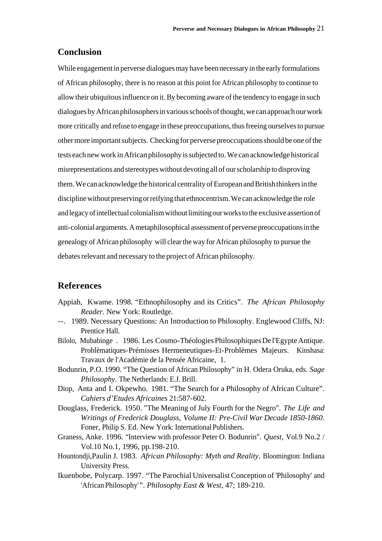### **Conclusion**

While engagement in perverse dialogues may have been necessary in the early formulations of African philosophy, there is no reason at this point for African philosophy to continue to allow their ubiquitous influence on it. By becoming aware of the tendency to engage in such dialogues by African philosophers in various schools of thought, we can approach our work more critically and refuse to engage in these preoccupations, thus freeing ourselves to pursue other more important subjects. Checking for perverse preoccupations should be one of the tests each new work in African philosophy is subjected to. We can acknowledge historical misrepresentations and stereotypes without devoting all of our scholarship to disproving them. We can acknowledge the historical centrality of European and British thinkers in the discipline without preserving or reifying that ethnocentrism. We can acknowledge the role and legacy of intellectual colonialism without limiting our works to the exclusive assertion of anti-colonial arguments. A metaphilosophical assessment of perverse preoccupations in the genealogy of African philosophy will clear the way for African philosophy to pursue the debates relevant and necessary to the project of African philosophy.

## **References**

- Appiah, Kwame. 1998. "Ethnophilosophy and its Critics". *The African Philosophy Reader*. New York: Routledge.
- --. 1989. Necessary Questions: An Introduction to Philosophy. Englewood Cliffs, NJ: Prentice Hall.
- Bilolo, Mubabinge . 1986. Les Cosmo-Théologies Philosophiques De l'Egypte Antique. Problèmatiques-Prémisses Hermeneutiques-Et-Problèmes Majeurs. Kinshasa: Travaux de l'Académie de la Pensée Africaine, 1.
- Bodunrin, P.O. 1990. "The Question of African Philosophy" in H. Odera Oruka, eds. *Sage Philosophy.* The Netherlands: E.J. Brill.
- Diop, Anta and I. Okpewho. 1981. "The Search for a Philosophy of African Culture". *Cahiers d'Etudes Africaines* 21:587-602.
- Douglass, Frederick. 1950. "The Meaning of July Fourth for the Negro". *The Life and Writings of Frederick Douglass*, *Volume II: Pre-Civil War Decade 1850-1860*. Foner, Philip S. Ed. New York: International Publishers.
- Graness, Anke. 1996. "Interview with professor Peter O. Bodunrin". *Quest*, Vol.9 No.2 / Vol.10 No.1, 1996, pp.198-210.
- Hountondji*,*Paulin J. 1983. *African Philosophy: Myth and Reality*. Bloomington: Indiana University Press.
- Ikuenbobe, Polycarp. 1997. "The Parochial Universalist Conception of 'Philosophy' and 'African Philosophy'*"*. *Philosophy East & West*, 47; 189-210.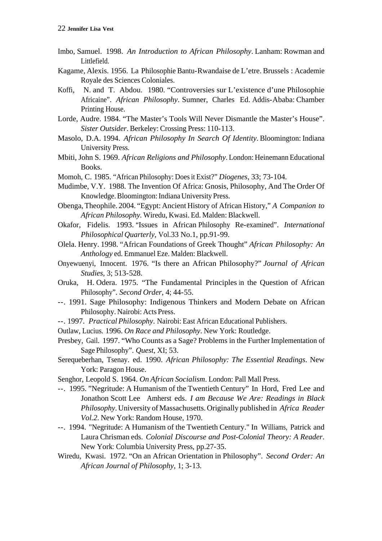- Imbo, Samuel. 1998. *An Introduction to African Philosophy*. Lanham: Rowman and Littlefield.
- Kagame, Alexis. 1956. La Philosophie Bantu-Rwandaise de L'etre. Brussels : Academie Royale des Sciences Coloniales.
- Koffi, N. and T. Abdou. 1980. "Controversies sur L'existence d'une Philosophie Africaine". *African Philosophy*. Sumner, Charles Ed. Addis-Ababa: Chamber Printing House.
- Lorde, Audre. 1984. "The Master's Tools Will Never Dismantle the Master's House". *Sister Outsider*. Berkeley: Crossing Press: 110-113.
- Masolo, D.A. 1994. *African Philosophy In Search Of Identity*. Bloomington: Indiana University Press.
- Mbiti, John S. 1969. *African Religions and Philosophy*. London: Heinemann Educational Books.
- Momoh, C. 1985. "African Philosophy: Does it Exist?" *Diogenes*, 33; 73-104.
- Mudimbe, V.Y. 1988. The Invention Of Africa: Gnosis, Philosophy, And The Order Of Knowledge. Bloomington: Indiana University Press.
- Obenga, Theophile. 2004. "Egypt: Ancient History of African History," *A Companion to African Philosophy.* Wiredu, Kwasi. Ed. Malden: Blackwell.
- Okafor, Fidelis. 1993. "Issues in African Philosophy Re-examined". *International Philosophical Quarterly*, Vol.33 No.1, pp.91-99.
- Olela. Henry. 1998. "African Foundations of Greek Thought" *African Philosophy: An Anthology* ed. Emmanuel Eze. Malden: Blackwell.
- Onyewuenyi, Innocent. 1976. "Is there an African Philosophy?" *Journal of African Studies*, 3; 513-528.
- Oruka, H. Odera. 1975. "The Fundamental Principles in the Question of African Philosophy". *Second Order*, 4; 44-55.
- --. 1991. Sage Philosophy: Indigenous Thinkers and Modern Debate on African Philosophy. Nairobi: Acts Press.
- --. 1997. *Practical Philosophy*. Nairobi: East African Educational Publishers.
- Outlaw, Lucius*.* 1996. *On Race and Philosophy*. New York: Routledge.
- Presbey, Gail. 1997. "Who Counts as a Sage? Problems in the Further Implementation of Sage Philosophy". *Quest*, XI; 53.
- Serequeberhan, Tsenay. ed. 1990. *African Philosophy: The Essential Readings*. New York: Paragon House.
- Senghor, Leopold S. 1964. *On African Socialism*. London: Pall Mall Press.
- --. 1995. "Negritude: A Humanism of the Twentieth Century" In Hord, Fred Lee and Jonathon Scott Lee Amherst eds. *I am Because We Are: Readings in Black Philosophy*. University of Massachusetts. Originally published in *Africa Reader Vol.2*. New York: Random House, 1970.
- --. 1994. "Negritude: A Humanism of the Twentieth Century." In Williams, Patrick and Laura Chrisman eds. *Colonial Discourse and Post-Colonial Theory: A Reader*. New York: Columbia University Press, pp.27-35.
- Wiredu, Kwasi. 1972. "On an African Orientation in Philosophy". *Second Order: An African Journal of Philosophy*, 1; 3-13.